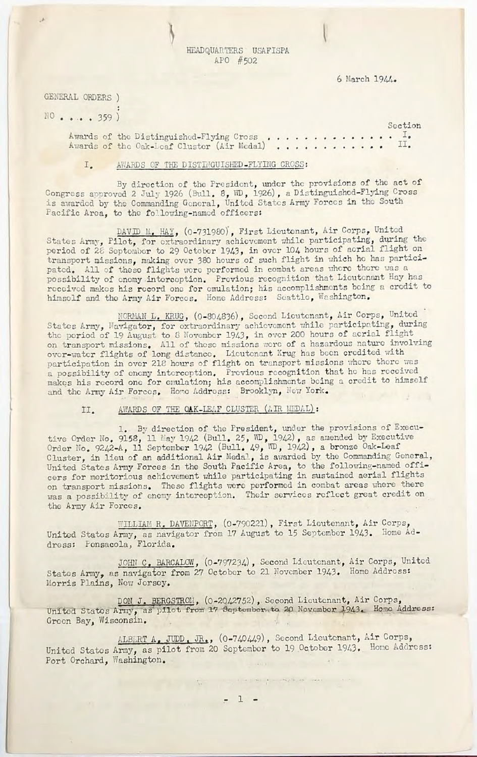HEADQUARTERS USAFISPA APO #502

6 March 1944.

GENERAL ORDERS ) NO . . . . 359)

Section Awards of the Distinguished-Flying Cross................. Awards of the Oak-Leaf Cluster (Air Medal) ............ II.

## AWARDS OF THE DISTINGUISHED-FLYING CROSS:  $I_{\bullet}$

By direction of the President, under the provisions of the act of Congress approved 2 July 1926 (Bull. 8, WD, 1926), a Distinguished-Flying Cross is awarded by the Commanding General, United States Army Forces in the South Pacific Area, to the following-named officers:

DAVID M. HAY, (0-731980), First Lieutenant, Air Corps, United States Army, Pilot, for extraordinary achievement while participating, during the period of 28 September to 29 October 1943, in over 104 hours of aerial flight on transport missions, making over 380 hours of such flight in which he has participated. All of these flights were performed in combat areas where there was a possibility of enemy interception. Previous recognition that Lieutenant Hay has received makes his record one for emulation; his accomplishments being a credit to himself and the Army Air Forces. Home Address: Seattle, Washington.

NORMAN L. KRUG, (0-804836), Second Lieutenant, Air Corps, United States Army, Navigator, for extraordinary achievement while participating, during the period of 19 August to 8 November 1943, in over 200 hours of aerial flight on transport missions. All of these missions were of a hazardous nature involving over-water flights of long distance. Lieutenant Krug has been credited with participation in over 218 hours of flight on transport missions where there was a possibility of enemy interception. Previous recognition that he has received makes his record one for emulation; his accomplishments being a credit to himself and the Army Air Forces. Home Address: Brooklyn, New York.

## AWARDS OF THE OAK-LEAF CLUSTER (AIR MEDAL):  $II.$

1. By direction of the President, under the provisions of Executive Order No. 9158, 11 May 1942 (Bull. 25, WD, 1942), as amended by Executive Order No. 9242-A, 11 September 1942 (Bull. 49, WD, 1942), a bronze Oak-Leaf Cluster, in lieu of an additional Air Medal, is awarded by the Commanding General, United States Army Forces in the South Pacific Area, to the following-named officers for meritorious achievement while participating in sustained aerial flights on transport missions. These flights were performed in combat areas where there was a possibility of enemy interception. Their services reflect great credit on the Army Air Forces. the company of the company of the company of

WILLIAM R. DAVENPORT, (0-790221), First Lieutenant, Air Corps, United States Army, as navigator from 17 August to 15 September 1943. Home Address: Pensacola, Florida.

JOHN C. BARCALOW, (0-797234), Second Lieutenant, Air Corps, United States Army, as navigator from 27 October to 21 November 1943. Home Address: Morris Plains, New Jorsey.

DON J. BERGSTROM, (0-2042752), Second Lieutenant, Air Corps, United States Army, as pilot from 17 September, to 20 November 1943. Home Address: Green Bay, Wisconsin.

ALBERT A. JUDD. JR., (0-740449), Second Lieutenant, Air Corps, United States Army, as pilot from 20 September to 19 October 1943. Home Address: Port Orchard, Washington.

 $\label{eq:1.1} \frac{V_{\alpha\beta}}{\Delta\beta}=-\frac{1}{\alpha\beta}+\frac{1}{\alpha\beta}+\frac{1}{\alpha\beta}+\frac{1}{\alpha\beta}+\frac{1}{\alpha\beta}+\frac{1}{\alpha\beta}+\frac{1}{\alpha\beta}+\frac{1}{\alpha\beta}+\frac{1}{\alpha\beta}+\frac{1}{\alpha\beta}+\frac{1}{\alpha\beta}+\frac{1}{\alpha\beta}+\frac{1}{\alpha\beta}+\frac{1}{\alpha\beta}+\frac{1}{\alpha\beta}+\frac{1}{\alpha\beta}+\frac{1}{\alpha\beta}+\frac{1}{\alpha\beta}+\frac{1}{\alpha\beta}+\frac{1}{$